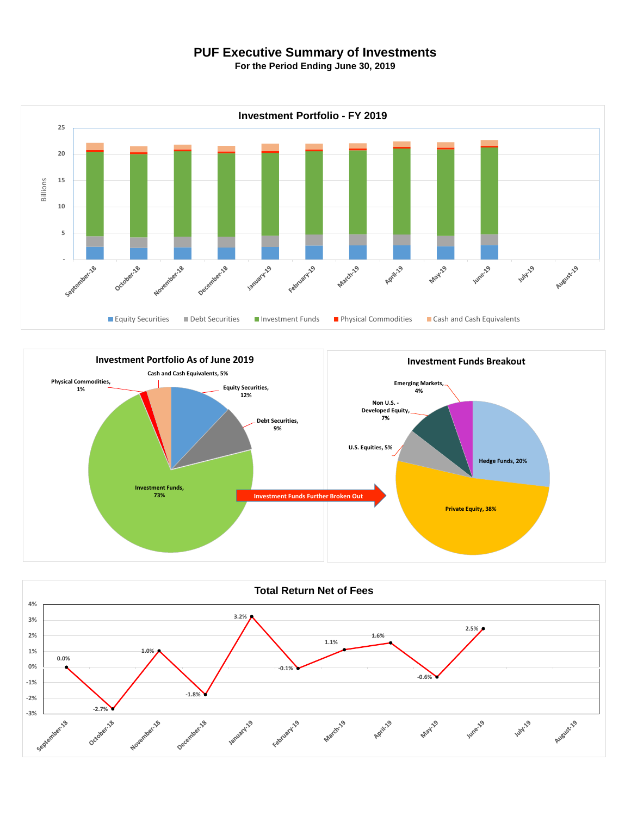## **PUF Executive Summary of Investments**

**For the Period Ending June 30, 2019**